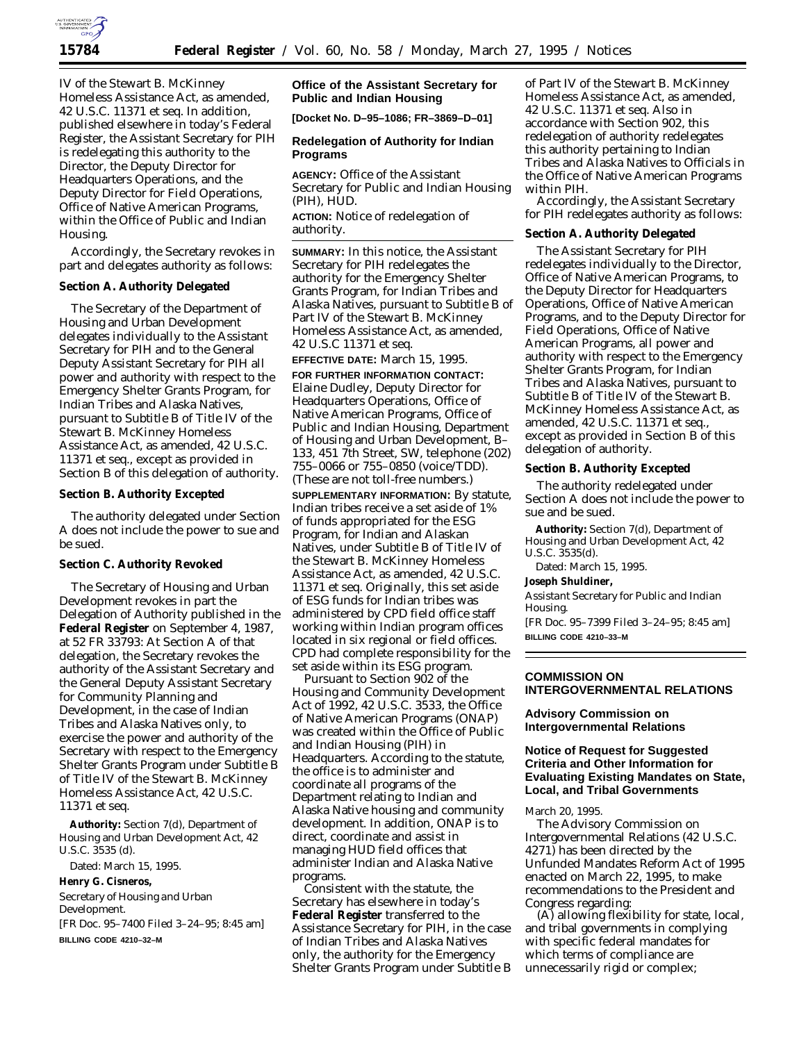

IV of the Stewart B. McKinney Homeless Assistance Act, as amended, 42 U.S.C. 11371 *et seq.* In addition, published elsewhere in today's Federal Register, the Assistant Secretary for PIH is redelegating this authority to the Director, the Deputy Director for Headquarters Operations, and the Deputy Director for Field Operations, Office of Native American Programs, within the Office of Public and Indian Housing.

Accordingly, the Secretary revokes in part and delegates authority as follows:

### **Section A. Authority Delegated**

The Secretary of the Department of Housing and Urban Development delegates individually to the Assistant Secretary for PIH and to the General Deputy Assistant Secretary for PIH all power and authority with respect to the Emergency Shelter Grants Program, for Indian Tribes and Alaska Natives, pursuant to Subtitle B of Title IV of the Stewart B. McKinney Homeless Assistance Act, as amended, 42 U.S.C. 11371 *et seq.*, except as provided in Section B of this delegation of authority.

#### **Section B. Authority Excepted**

The authority delegated under Section A does not include the power to sue and be sued.

## **Section C. Authority Revoked**

The Secretary of Housing and Urban Development revokes in part the Delegation of Authority published in the **Federal Register** on September 4, 1987, at 52 FR 33793: At Section A of that delegation, the Secretary revokes the authority of the Assistant Secretary and the General Deputy Assistant Secretary for Community Planning and Development, in the case of Indian Tribes and Alaska Natives only, to exercise the power and authority of the Secretary with respect to the Emergency Shelter Grants Program under Subtitle B of Title IV of the Stewart B. McKinney Homeless Assistance Act, 42 U.S.C. 11371 *et seq.*

**Authority:** Section 7(d), Department of Housing and Urban Development Act, 42 U.S.C. 3535 (d).

Dated: March 15, 1995.

**Henry G. Cisneros,**

*Secretary of Housing and Urban Development.* [FR Doc. 95–7400 Filed 3–24–95; 8:45 am] **BILLING CODE 4210–32–M**

# **Office of the Assistant Secretary for Public and Indian Housing**

**[Docket No. D–95–1086; FR–3869–D–01]**

### **Redelegation of Authority for Indian Programs**

**AGENCY:** Office of the Assistant Secretary for Public and Indian Housing (PIH), HUD. **ACTION:** Notice of redelegation of authority.

**SUMMARY:** In this notice, the Assistant Secretary for PIH redelegates the authority for the Emergency Shelter Grants Program, for Indian Tribes and Alaska Natives, pursuant to Subtitle B of Part IV of the Stewart B. McKinney Homeless Assistance Act, as amended, 42 U.S.C 11371 *et seq*.

**EFFECTIVE DATE:** March 15, 1995. **FOR FURTHER INFORMATION CONTACT:** Elaine Dudley, Deputy Director for Headquarters Operations, Office of Native American Programs, Office of Public and Indian Housing, Department of Housing and Urban Development, B– 133, 451 7th Street, SW, telephone (202) 755–0066 or 755–0850 (voice/TDD). (These are not toll-free numbers.)

**SUPPLEMENTARY INFORMATION:** By statute, Indian tribes receive a set aside of 1% of funds appropriated for the ESG Program, for Indian and Alaskan Natives, under Subtitle B of Title IV of the Stewart B. McKinney Homeless Assistance Act, as amended, 42 U.S.C. 11371 *et seq.* Originally, this set aside of ESG funds for Indian tribes was administered by CPD field office staff working within Indian program offices located in six regional or field offices. CPD had complete responsibility for the set aside within its ESG program.

Pursuant to Section 902 of the Housing and Community Development Act of 1992, 42 U.S.C. 3533, the Office of Native American Programs (ONAP) was created within the Office of Public and Indian Housing (PIH) in Headquarters. According to the statute, the office is to administer and coordinate all programs of the Department relating to Indian and Alaska Native housing and community development. In addition, ONAP is to direct, coordinate and assist in managing HUD field offices that administer Indian and Alaska Native programs.

Consistent with the statute, the Secretary has elsewhere in today's **Federal Register** transferred to the Assistance Secretary for PIH, in the case of Indian Tribes and Alaska Natives only, the authority for the Emergency Shelter Grants Program under Subtitle B of Part IV of the Stewart B. McKinney Homeless Assistance Act, as amended, 42 U.S.C. 11371 *et seq.* Also in accordance with Section 902, this redelegation of authority redelegates this authority pertaining to Indian Tribes and Alaska Natives to Officials in the Office of Native American Programs within PIH.

Accordingly, the Assistant Secretary for PIH redelegates authority as follows:

## **Section A. Authority Delegated**

The Assistant Secretary for PIH redelegates individually to the Director, Office of Native American Programs, to the Deputy Director for Headquarters Operations, Office of Native American Programs, and to the Deputy Director for Field Operations, Office of Native American Programs, all power and authority with respect to the Emergency Shelter Grants Program, for Indian Tribes and Alaska Natives, pursuant to Subtitle B of Title IV of the Stewart B. McKinney Homeless Assistance Act, as amended, 42 U.S.C. 11371 *et seq.,* except as provided in Section B of this delegation of authority.

### **Section B. Authority Excepted**

The authority redelegated under Section A does not include the power to sue and be sued.

**Authority:** Section 7(d), Department of Housing and Urban Development Act, 42 U.S.C. 3535(d).

Dated: March 15, 1995.

## **Joseph Shuldiner,**

*Assistant Secretary for Public and Indian Housing.*

[FR Doc. 95–7399 Filed 3–24–95; 8:45 am] **BILLING CODE 4210–33–M**

### **COMMISSION ON INTERGOVERNMENTAL RELATIONS**

**Advisory Commission on Intergovernmental Relations**

# **Notice of Request for Suggested Criteria and Other Information for Evaluating Existing Mandates on State, Local, and Tribal Governments**

### March 20, 1995.

The Advisory Commission on Intergovernmental Relations (42 U.S.C. 4271) has been directed by the Unfunded Mandates Reform Act of 1995 enacted on March 22, 1995, to make recommendations to the President and Congress regarding:

(A) allowing flexibility for state, local, and tribal governments in complying with specific federal mandates for which terms of compliance are unnecessarily rigid or complex;